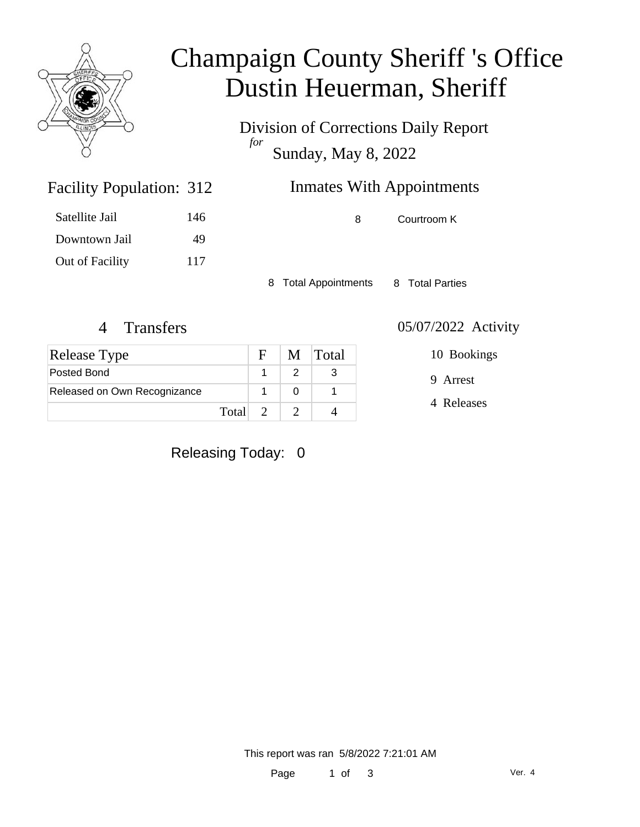

# Champaign County Sheriff 's Office Dustin Heuerman, Sheriff

Division of Corrections Daily Report *for* Sunday, May 8, 2022

| <b>Facility Population: 312</b> |     | <b>Inmates With Appointments</b> |             |
|---------------------------------|-----|----------------------------------|-------------|
| Satellite Jail                  | 146 |                                  | Courtroom K |

Satellite Jail 146 Downtown Jail 49 Out of Facility 117

8 Total Appointments 8 Total Parties

#### 4 Transfers 05/07/2022 Activity

| <b>Release Type</b>          |         | $F -$ | M Total |
|------------------------------|---------|-------|---------|
| Posted Bond                  |         |       |         |
| Released on Own Recognizance |         |       |         |
|                              | Total 2 |       |         |

10 Bookings

9 Arrest

4 Releases

Releasing Today: 0

This report was ran 5/8/2022 7:21:01 AM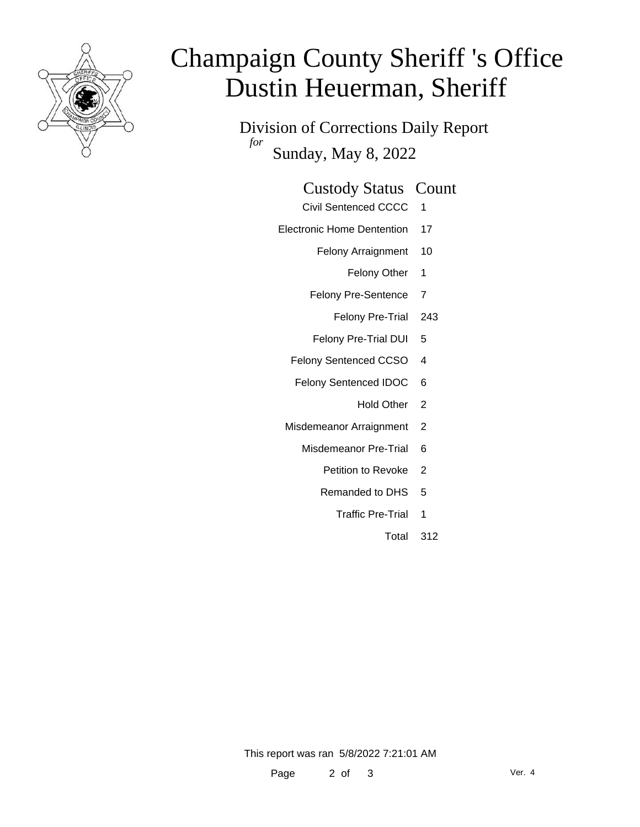

# Champaign County Sheriff 's Office Dustin Heuerman, Sheriff

Division of Corrections Daily Report *for* Sunday, May 8, 2022

| <b>Custody Status Count</b> |  |
|-----------------------------|--|
|-----------------------------|--|

- Civil Sentenced CCCC 1
- Electronic Home Dentention 17
	- Felony Arraignment 10
		- Felony Other 1
	- Felony Pre-Sentence 7
		- Felony Pre-Trial 243
	- Felony Pre-Trial DUI 5
	- Felony Sentenced CCSO 4
	- Felony Sentenced IDOC 6
		- Hold Other 2
	- Misdemeanor Arraignment 2
		- Misdemeanor Pre-Trial 6
			- Petition to Revoke 2
			- Remanded to DHS 5
				- Traffic Pre-Trial 1
					- Total 312

This report was ran 5/8/2022 7:21:01 AM